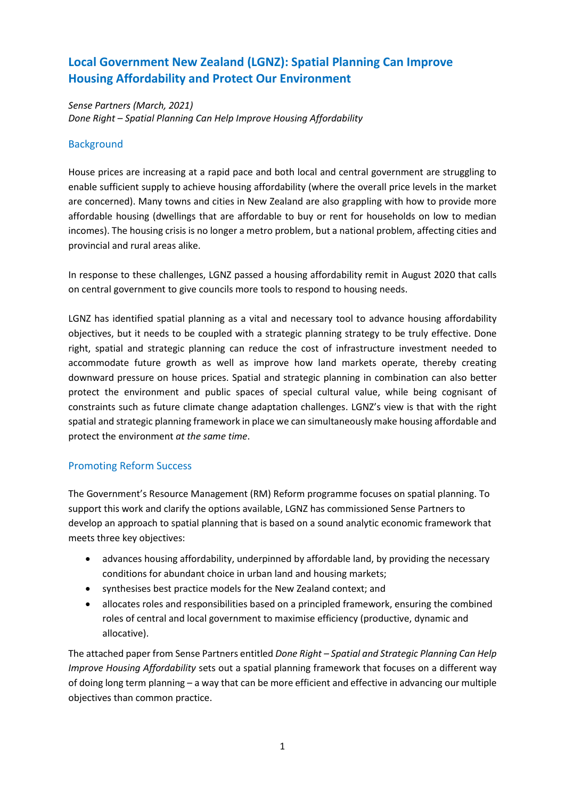# **Local Government New Zealand (LGNZ): Spatial Planning Can Improve Housing Affordability and Protect Our Environment**

*Sense Partners (March, 2021) Done Right – Spatial Planning Can Help Improve Housing Affordability*

## **Background**

House prices are increasing at a rapid pace and both local and central government are struggling to enable sufficient supply to achieve housing affordability (where the overall price levels in the market are concerned). Many towns and cities in New Zealand are also grappling with how to provide more affordable housing (dwellings that are affordable to buy or rent for households on low to median incomes). The housing crisis is no longer a metro problem, but a national problem, affecting cities and provincial and rural areas alike.

In response to these challenges, LGNZ passed a housing affordability remit in August 2020 that calls on central government to give councils more tools to respond to housing needs.

LGNZ has identified spatial planning as a vital and necessary tool to advance housing affordability objectives, but it needs to be coupled with a strategic planning strategy to be truly effective. Done right, spatial and strategic planning can reduce the cost of infrastructure investment needed to accommodate future growth as well as improve how land markets operate, thereby creating downward pressure on house prices. Spatial and strategic planning in combination can also better protect the environment and public spaces of special cultural value, while being cognisant of constraints such as future climate change adaptation challenges. LGNZ's view is that with the right spatial and strategic planning framework in place we can simultaneously make housing affordable and protect the environment *at the same time*.

# Promoting Reform Success

The Government's Resource Management (RM) Reform programme focuses on spatial planning. To support this work and clarify the options available, LGNZ has commissioned Sense Partners to develop an approach to spatial planning that is based on a sound analytic economic framework that meets three key objectives:

- advances housing affordability, underpinned by affordable land, by providing the necessary conditions for abundant choice in urban land and housing markets;
- synthesises best practice models for the New Zealand context; and
- allocates roles and responsibilities based on a principled framework, ensuring the combined roles of central and local government to maximise efficiency (productive, dynamic and allocative).

The attached paper from Sense Partners entitled *Done Right – Spatial and Strategic Planning Can Help Improve Housing Affordability* sets out a spatial planning framework that focuses on a different way of doing long term planning – a way that can be more efficient and effective in advancing our multiple objectives than common practice.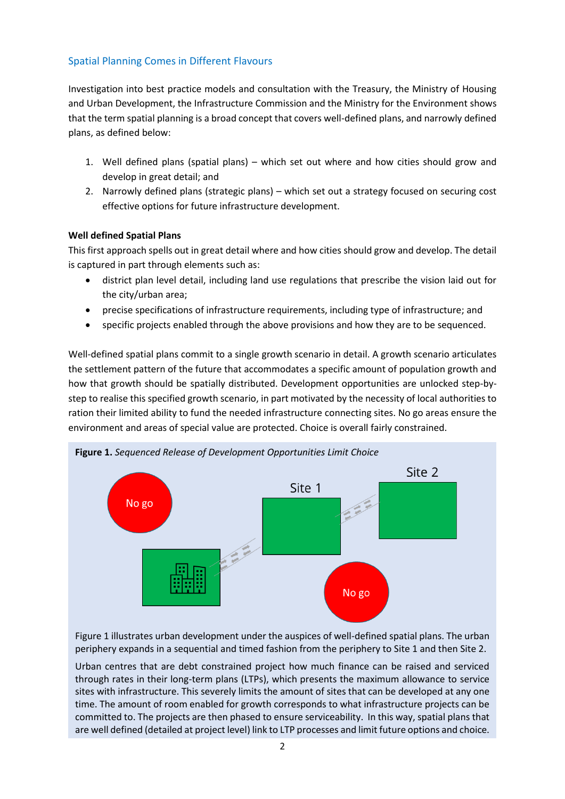# Spatial Planning Comes in Different Flavours

Investigation into best practice models and consultation with the Treasury, the Ministry of Housing and Urban Development, the Infrastructure Commission and the Ministry for the Environment shows that the term spatial planning is a broad concept that covers well-defined plans, and narrowly defined plans, as defined below:

- 1. Well defined plans (spatial plans) which set out where and how cities should grow and develop in great detail; and
- 2. Narrowly defined plans (strategic plans) which set out a strategy focused on securing cost effective options for future infrastructure development.

#### **Well defined Spatial Plans**

This first approach spells out in great detail where and how cities should grow and develop. The detail is captured in part through elements such as:

- district plan level detail, including land use regulations that prescribe the vision laid out for the city/urban area;
- precise specifications of infrastructure requirements, including type of infrastructure; and
- specific projects enabled through the above provisions and how they are to be sequenced.

Well-defined spatial plans commit to a single growth scenario in detail. A growth scenario articulates the settlement pattern of the future that accommodates a specific amount of population growth and how that growth should be spatially distributed. Development opportunities are unlocked step-bystep to realise this specified growth scenario, in part motivated by the necessity of local authorities to ration their limited ability to fund the needed infrastructure connecting sites. No go areas ensure the environment and areas of special value are protected. Choice is overall fairly constrained.



Figure 1 illustrates urban development under the auspices of well-defined spatial plans. The urban periphery expands in a sequential and timed fashion from the periphery to Site 1 and then Site 2.

Urban centres that are debt constrained project how much finance can be raised and serviced through rates in their long-term plans (LTPs), which presents the maximum allowance to service sites with infrastructure. This severely limits the amount of sites that can be developed at any one time. The amount of room enabled for growth corresponds to what infrastructure projects can be committed to. The projects are then phased to ensure serviceability. In this way, spatial plans that are well defined (detailed at project level) link to LTP processes and limit future options and choice.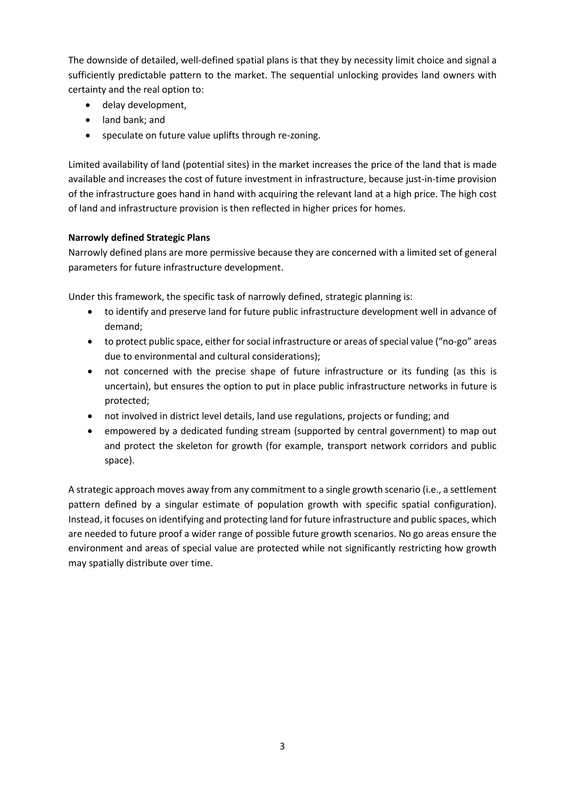The downside of detailed, well-defined spatial plans is that they by necessity limit choice and signal a sufficiently predictable pattern to the market. The sequential unlocking provides land owners with certainty and the real option to:

- delay development,
- land bank; and
- speculate on future value uplifts through re-zoning.

Limited availability of land (potential sites) in the market increases the price of the land that is made available and increases the cost of future investment in infrastructure, because just-in-time provision of the infrastructure goes hand in hand with acquiring the relevant land at a high price. The high cost of land and infrastructure provision is then reflected in higher prices for homes.

#### **Narrowly defined Strategic Plans**

Narrowly defined plans are more permissive because they are concerned with a limited set of general parameters for future infrastructure development.

Under this framework, the specific task of narrowly defined, strategic planning is:

- to identify and preserve land for future public infrastructure development well in advance of demand;
- to protect public space, either for social infrastructure or areas of special value ("no-go" areas due to environmental and cultural considerations);
- not concerned with the precise shape of future infrastructure or its funding (as this is uncertain), but ensures the option to put in place public infrastructure networks in future is protected;
- not involved in district level details, land use regulations, projects or funding; and
- empowered by a dedicated funding stream (supported by central government) to map out and protect the skeleton for growth (for example, transport network corridors and public space).

A strategic approach moves away from any commitment to a single growth scenario (i.e., a settlement pattern defined by a singular estimate of population growth with specific spatial configuration). Instead, it focuses on identifying and protecting land for future infrastructure and public spaces, which are needed to future proof a wider range of possible future growth scenarios. No go areas ensure the environment and areas of special value are protected while not significantly restricting how growth may spatially distribute over time.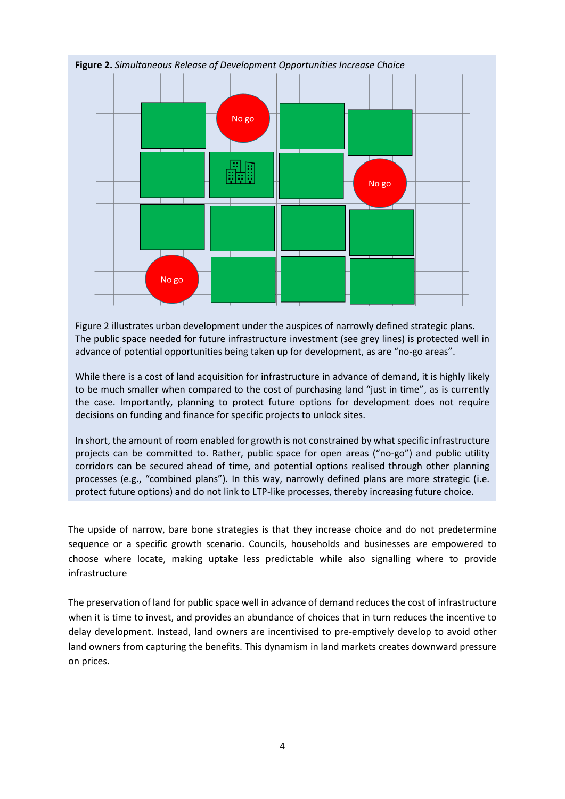

Figure 2 illustrates urban development under the auspices of narrowly defined strategic plans. The public space needed for future infrastructure investment (see grey lines) is protected well in advance of potential opportunities being taken up for development, as are "no-go areas".

While there is a cost of land acquisition for infrastructure in advance of demand, it is highly likely to be much smaller when compared to the cost of purchasing land "just in time", as is currently the case. Importantly, planning to protect future options for development does not require decisions on funding and finance for specific projects to unlock sites.

In short, the amount of room enabled for growth is not constrained by what specific infrastructure projects can be committed to. Rather, public space for open areas ("no-go") and public utility corridors can be secured ahead of time, and potential options realised through other planning processes (e.g., "combined plans"). In this way, narrowly defined plans are more strategic (i.e. protect future options) and do not link to LTP-like processes, thereby increasing future choice.

The upside of narrow, bare bone strategies is that they increase choice and do not predetermine sequence or a specific growth scenario. Councils, households and businesses are empowered to choose where locate, making uptake less predictable while also signalling where to provide infrastructure

The preservation of land for public space well in advance of demand reduces the cost of infrastructure when it is time to invest, and provides an abundance of choices that in turn reduces the incentive to delay development. Instead, land owners are incentivised to pre-emptively develop to avoid other land owners from capturing the benefits. This dynamism in land markets creates downward pressure on prices.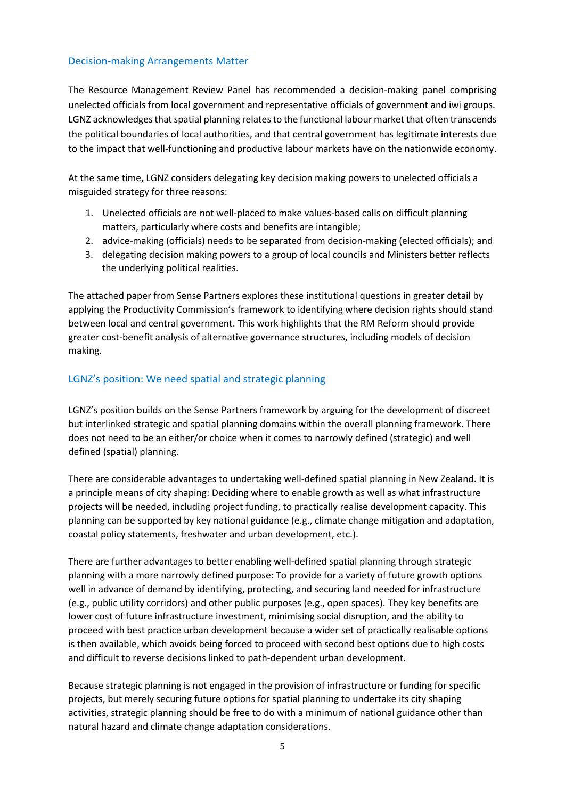## Decision-making Arrangements Matter

The Resource Management Review Panel has recommended a decision-making panel comprising unelected officials from local government and representative officials of government and iwi groups. LGNZ acknowledges that spatial planning relates to the functional labour market that often transcends the political boundaries of local authorities, and that central government has legitimate interests due to the impact that well-functioning and productive labour markets have on the nationwide economy.

At the same time, LGNZ considers delegating key decision making powers to unelected officials a misguided strategy for three reasons:

- 1. Unelected officials are not well-placed to make values-based calls on difficult planning matters, particularly where costs and benefits are intangible;
- 2. advice-making (officials) needs to be separated from decision-making (elected officials); and
- 3. delegating decision making powers to a group of local councils and Ministers better reflects the underlying political realities.

The attached paper from Sense Partners explores these institutional questions in greater detail by applying the Productivity Commission's framework to identifying where decision rights should stand between local and central government. This work highlights that the RM Reform should provide greater cost-benefit analysis of alternative governance structures, including models of decision making.

#### LGNZ's position: We need spatial and strategic planning

LGNZ's position builds on the Sense Partners framework by arguing for the development of discreet but interlinked strategic and spatial planning domains within the overall planning framework. There does not need to be an either/or choice when it comes to narrowly defined (strategic) and well defined (spatial) planning.

There are considerable advantages to undertaking well-defined spatial planning in New Zealand. It is a principle means of city shaping: Deciding where to enable growth as well as what infrastructure projects will be needed, including project funding, to practically realise development capacity. This planning can be supported by key national guidance (e.g., climate change mitigation and adaptation, coastal policy statements, freshwater and urban development, etc.).

There are further advantages to better enabling well-defined spatial planning through strategic planning with a more narrowly defined purpose: To provide for a variety of future growth options well in advance of demand by identifying, protecting, and securing land needed for infrastructure (e.g., public utility corridors) and other public purposes (e.g., open spaces). They key benefits are lower cost of future infrastructure investment, minimising social disruption, and the ability to proceed with best practice urban development because a wider set of practically realisable options is then available, which avoids being forced to proceed with second best options due to high costs and difficult to reverse decisions linked to path-dependent urban development.

Because strategic planning is not engaged in the provision of infrastructure or funding for specific projects, but merely securing future options for spatial planning to undertake its city shaping activities, strategic planning should be free to do with a minimum of national guidance other than natural hazard and climate change adaptation considerations.